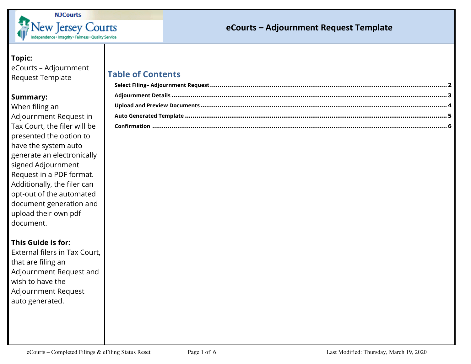

#### **Topic:**

eCourts – Adjournment Request Template

#### **Summary:**

When filing an Adjournment Request in Tax Court, the filer will be presented the option to have the system auto generate an electronically signed Adjournment Request in a PDF format. Additionally, the filer can opt-out of the automated document generation and upload their own pdf document.

### **This Guide is for:**

External filers in Tax Court, that are filing an Adjournment Request and wish to have the Adjournment Request auto generated.

# **Table of Contents**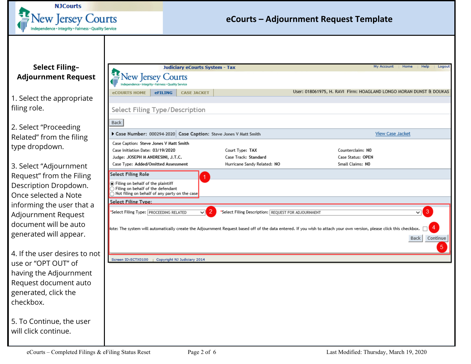

### <span id="page-1-0"></span>**Select Filing– Adjournment Request**

1. Select the appropriate filing role.

2. Select "Proceeding Related" from the filing type dropdown.

3. Select "Adjournment Request" from the Filing Description Dropdown. Once selected a Note informing the user that a Adjournment Request document will be auto generated will appear.

4. If the user desires to not use or "OPT OUT" of having the Adjournment Request document auto generated, click the checkbox.

5. To Continue, the user will click continue.

| <b>Judiciary eCourts System - Tax</b>                                                                                                                  |                                                                        | My Account<br>Home<br>Help<br>Logout                                                                                                                                                                                |
|--------------------------------------------------------------------------------------------------------------------------------------------------------|------------------------------------------------------------------------|---------------------------------------------------------------------------------------------------------------------------------------------------------------------------------------------------------------------|
| ew Jersey Courts<br>endence + Integrity + Fairness + Quality Service                                                                                   |                                                                        |                                                                                                                                                                                                                     |
| <b>eFILING</b><br><b>CASE JACKET</b><br><b>eCOURTS HOME</b>                                                                                            |                                                                        | User: 018061975, H. RAVI Firm: HOAGLAND LONGO MORAN DUNST & DOUKAS                                                                                                                                                  |
| Select Filing Type/Description                                                                                                                         |                                                                        |                                                                                                                                                                                                                     |
| Back                                                                                                                                                   |                                                                        |                                                                                                                                                                                                                     |
| Case Number: 000294-2020 Case Caption: Steve Jones V Matt Smith                                                                                        |                                                                        | <b>View Case Jacket</b>                                                                                                                                                                                             |
| Case Caption: Steve Jones V Matt Smith<br>Case Initiation Date: 03/19/2020<br>Judge: JOSEPH M ANDRESINI, J.T.C.<br>Case Type: Added/Omitted Assessment | Court Type: TAX<br>Case Track: Standard<br>Hurricane Sandy Related: NO | Counterclaim: NO<br>Case Status: OPEN<br>Small Claims: NO                                                                                                                                                           |
| <b>Select Filing Role</b><br>1                                                                                                                         |                                                                        |                                                                                                                                                                                                                     |
| ◉ Filing on behalf of the plaintiff<br>$\bigcirc$ Filing on behalf of the defendant<br>$\bigcap$ Not filing on behalf of any party on the case         |                                                                        |                                                                                                                                                                                                                     |
| <b>Select Filing Type:</b>                                                                                                                             |                                                                        |                                                                                                                                                                                                                     |
| "Select Filing Type: PROCEEDING RELATED<br>$\vee$                                                                                                      | $\overline{2}$<br>*Select Filing Description: REQUEST FOR ADJOURNMENT  | 3<br>$\checkmark$<br>Jote: The system will automatically create the Adjournment Request based off of the data entered. If you wish to attach your own version, please click this checkbox.<br>Continue<br>Back<br>5 |
| Screen ID:ECTX0100   Copyright NJ Judiciary 2014                                                                                                       |                                                                        |                                                                                                                                                                                                                     |
|                                                                                                                                                        |                                                                        |                                                                                                                                                                                                                     |
|                                                                                                                                                        |                                                                        |                                                                                                                                                                                                                     |
|                                                                                                                                                        |                                                                        |                                                                                                                                                                                                                     |
|                                                                                                                                                        |                                                                        |                                                                                                                                                                                                                     |
|                                                                                                                                                        |                                                                        |                                                                                                                                                                                                                     |
|                                                                                                                                                        |                                                                        |                                                                                                                                                                                                                     |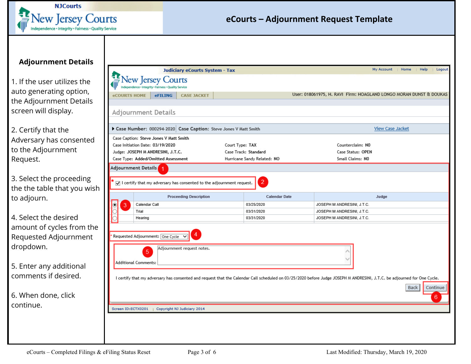

### <span id="page-2-0"></span>**Adjournment Details**

1. If the user utilizes the auto generating option, the Adjournment Details screen will display.

2. Certify that the Adversary has consented to the Adjournment Request.

3. Select the proceeding the the table that you wish to adjourn.

4. Select the desired amount of cycles from the Requested Adjournment dropdown.

5. Enter any additional comments if desired.

6. When done, click continue.

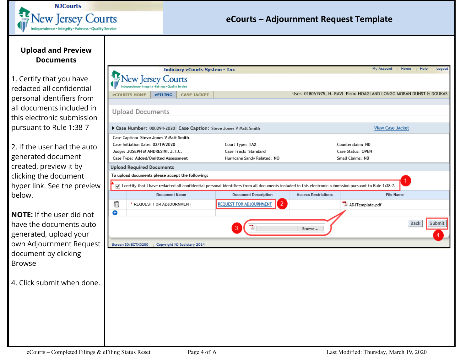

### <span id="page-3-0"></span>**Upload and Preview Documents**

1. Certify that you have redacted all confidential personal identifiers from all documents included in this electronic submission pursuant to Rule 1:38-7

2. If the user had the auto generated document created, preview it by clicking the document hyper link. See the preview below.

**NOTE:** If the user did not have the documents auto generated, upload your own Adjournment Reques document by clicking Browse

4. Click submit when done.

| <b>eCOURTS HOME</b>                                                      | <b>New Jersey Courts</b><br>ndependence + Integrity + Fairness + Quality Service<br><b>eFILING</b> |                             |                                                                                                                                                           |                            |                                                                    |                       |
|--------------------------------------------------------------------------|----------------------------------------------------------------------------------------------------|-----------------------------|-----------------------------------------------------------------------------------------------------------------------------------------------------------|----------------------------|--------------------------------------------------------------------|-----------------------|
|                                                                          |                                                                                                    |                             |                                                                                                                                                           |                            |                                                                    |                       |
|                                                                          |                                                                                                    |                             |                                                                                                                                                           |                            | User: 018061975, H. RAVI Firm: HOAGLAND LONGO MORAN DUNST & DOUKAS |                       |
|                                                                          |                                                                                                    | <b>CASE JACKET</b>          |                                                                                                                                                           |                            |                                                                    |                       |
|                                                                          | <b>Upload Documents</b>                                                                            |                             |                                                                                                                                                           |                            |                                                                    |                       |
| Case Number: 000294-2020 Case Caption: Steve Jones V Matt Smith          |                                                                                                    |                             |                                                                                                                                                           | <b>View Case Jacket</b>    |                                                                    |                       |
|                                                                          | Case Caption: Steve Jones V Matt Smith                                                             |                             |                                                                                                                                                           |                            |                                                                    |                       |
|                                                                          | Case Initiation Date: 03/19/2020                                                                   |                             | Court Type: TAX                                                                                                                                           |                            | Counterclaim: NO                                                   |                       |
| Judge: JOSEPH M ANDRESINI, J.T.C.<br>Case Type: Added/Omitted Assessment |                                                                                                    |                             | Case Track: Standard<br>Hurricane Sandy Related: NO                                                                                                       |                            | Case Status: OPEN<br>Small Claims: NO                              |                       |
|                                                                          |                                                                                                    |                             |                                                                                                                                                           |                            |                                                                    |                       |
|                                                                          | <b>Upload Required Documents</b>                                                                   |                             |                                                                                                                                                           |                            |                                                                    |                       |
|                                                                          | To upload documents please accept the following:                                                   |                             |                                                                                                                                                           |                            |                                                                    |                       |
|                                                                          |                                                                                                    |                             | √ I certify that I have redacted all confidential personal identifiers from all documents included in this electronic submission pursuant to Rule 1:38-7. |                            |                                                                    |                       |
|                                                                          | <b>Document Name</b>                                                                               |                             | <b>Document Description</b>                                                                                                                               | <b>Access Restrictions</b> | <b>File Name</b>                                                   |                       |
| Ť                                                                        | * REQUEST FOR ADJOURNMENT                                                                          |                             | $\overline{2}$<br><b>REQUEST FOR ADJOURNMENT</b>                                                                                                          |                            | ADJTemplate.pdf                                                    |                       |
| o                                                                        |                                                                                                    |                             |                                                                                                                                                           |                            |                                                                    |                       |
|                                                                          |                                                                                                    |                             |                                                                                                                                                           | Browse                     |                                                                    | Submit<br><b>Back</b> |
|                                                                          |                                                                                                    |                             |                                                                                                                                                           |                            |                                                                    |                       |
| Screen ID:ECTX0200                                                       |                                                                                                    | Copyright NJ Judiciary 2014 |                                                                                                                                                           |                            |                                                                    |                       |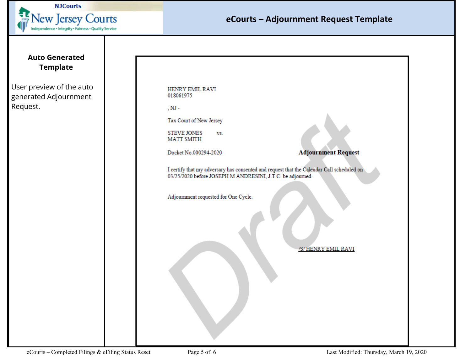

### <span id="page-4-0"></span>**Auto Generated Template**

User preview of the auto generated Adjournment Request.

| <b>HENRY EMIL RAVI</b> |
|------------------------|
| 018061975              |

 $, NJ -$ 

Tax Court of New Jersey

**STEVE JONES** VS. **MATT SMITH** 

Docket No.000294-2020

**Adjournment Request** 

I certify that my adversary has consented and request that the Calendar Call scheduled on 03/25/2020 before JOSEPH M ANDRESINI, J.T.C. be adjourned.

Adjournment requested for One Cycle.

/S/HENRY EMIL RAVI